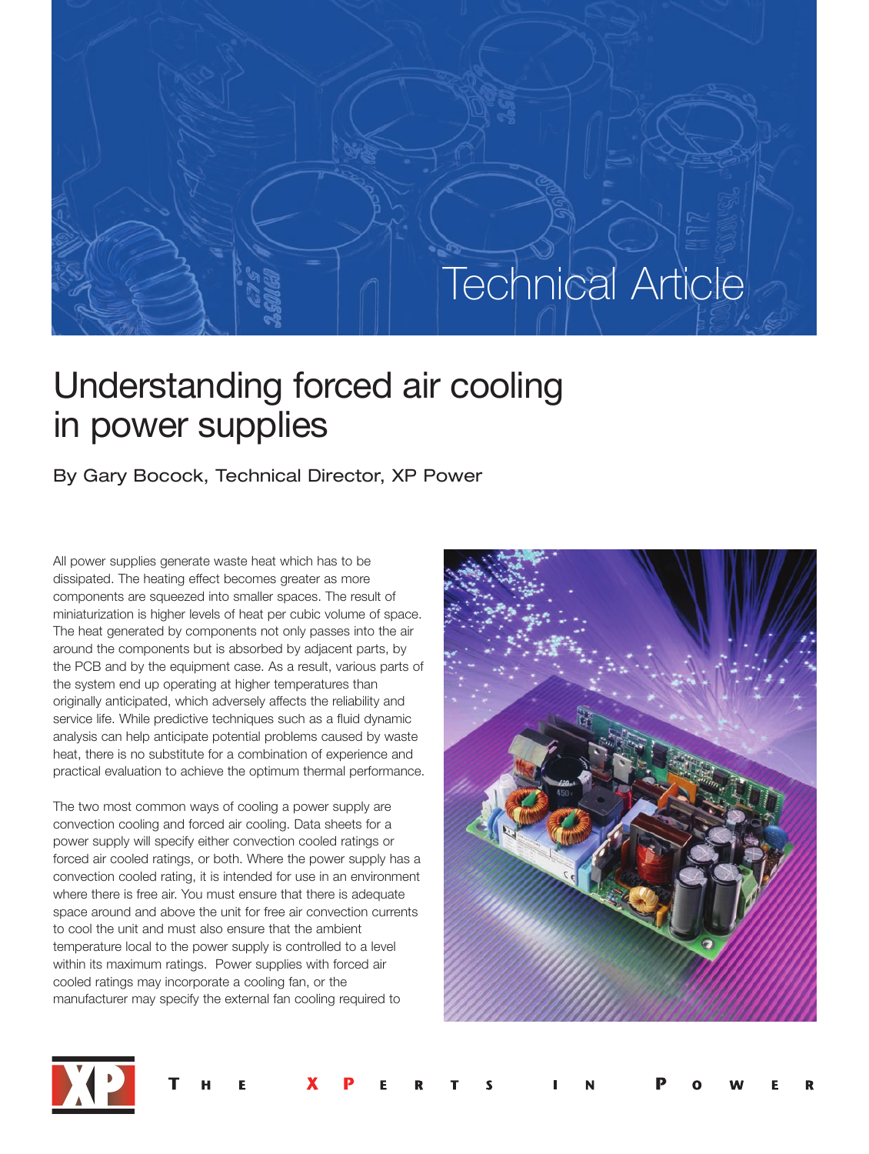# Technical Article

## Understanding forced air cooling in power supplies

### By Gary Bocock, Technical Director, XP Power

All power supplies generate waste heat which has to be dissipated. The heating effect becomes greater as more components are squeezed into smaller spaces. The result of miniaturization is higher levels of heat per cubic volume of space. The heat generated by components not only passes into the air around the components but is absorbed by adjacent parts, by the PCB and by the equipment case. As a result, various parts of the system end up operating at higher temperatures than originally anticipated, which adversely affects the reliability and service life. While predictive techniques such as a fluid dynamic analysis can help anticipate potential problems caused by waste heat, there is no substitute for a combination of experience and practical evaluation to achieve the optimum thermal performance.

The two most common ways of cooling a power supply are convection cooling and forced air cooling. Data sheets for a power supply will specify either convection cooled ratings or forced air cooled ratings, or both. Where the power supply has a convection cooled rating, it is intended for use in an environment where there is free air. You must ensure that there is adequate space around and above the unit for free air convection currents to cool the unit and must also ensure that the ambient temperature local to the power supply is controlled to a level within its maximum ratings. Power supplies with forced air cooled ratings may incorporate a cooling fan, or the manufacturer may specify the external fan cooling required to



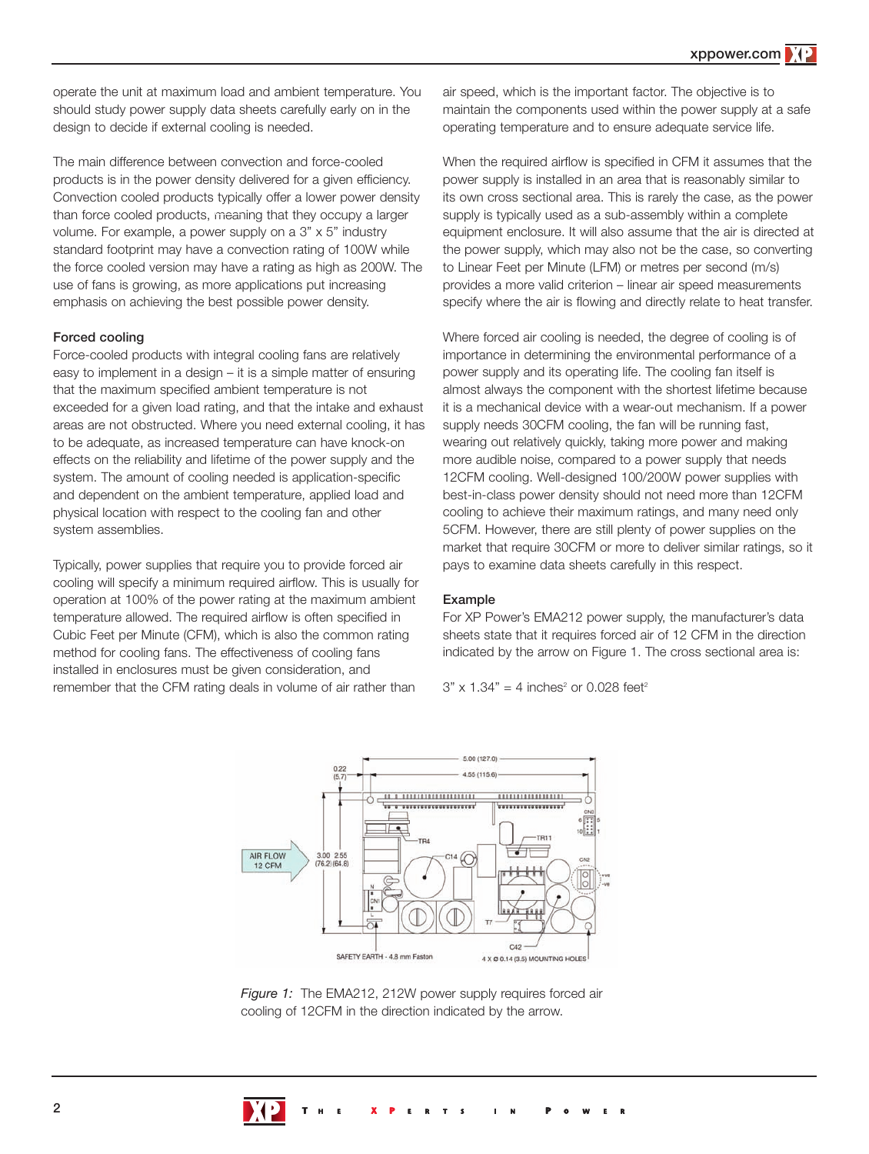operate the unit at maximum load and ambient temperature. You should study power supply data sheets carefully early on in the design to decide if external cooling is needed.

The main difference between convection and force-cooled products is in the power density delivered for a given efficiency. Convection cooled products typically offer a lower power density than force cooled products, meaning that they occupy a larger volume. For example, a power supply on a 3" x 5" industry standard footprint may have a convection rating of 100W while the force cooled version may have a rating as high as 200W. The use of fans is growing, as more applications put increasing emphasis on achieving the best possible power density.

#### **Forced cooling**

Force-cooled products with integral cooling fans are relatively easy to implement in a design – it is a simple matter of ensuring that the maximum specified ambient temperature is not exceeded for a given load rating, and that the intake and exhaust areas are not obstructed. Where you need external cooling, it has to be adequate, as increased temperature can have knock-on effects on the reliability and lifetime of the power supply and the system. The amount of cooling needed is application-specific and dependent on the ambient temperature, applied load and physical location with respect to the cooling fan and other system assemblies.

Typically, power supplies that require you to provide forced air cooling will specify a minimum required airflow. This is usually for operation at 100% of the power rating at the maximum ambient temperature allowed. The required airflow is often specified in Cubic Feet per Minute (CFM), which is also the common rating method for cooling fans. The effectiveness of cooling fans installed in enclosures must be given consideration, and remember that the CFM rating deals in volume of air rather than

air speed, which is the important factor. The objective is to maintain the components used within the power supply at a safe operating temperature and to ensure adequate service life.

When the required airflow is specified in CFM it assumes that the power supply is installed in an area that is reasonably similar to its own cross sectional area. This is rarely the case, as the power supply is typically used as a sub-assembly within a complete equipment enclosure. It will also assume that the air is directed at the power supply, which may also not be the case, so converting to Linear Feet per Minute (LFM) or metres per second (m/s) provides a more valid criterion – linear air speed measurements specify where the air is flowing and directly relate to heat transfer.

Where forced air cooling is needed, the degree of cooling is of importance in determining the environmental performance of a power supply and its operating life. The cooling fan itself is almost always the component with the shortest lifetime because it is a mechanical device with a wear-out mechanism. If a power supply needs 30CFM cooling, the fan will be running fast, wearing out relatively quickly, taking more power and making more audible noise, compared to a power supply that needs 12CFM cooling. Well-designed 100/200W power supplies with best-in-class power density should not need more than 12CFM cooling to achieve their maximum ratings, and many need only 5CFM. However, there are still plenty of power supplies on the market that require 30CFM or more to deliver similar ratings, so it pays to examine data sheets carefully in this respect.

#### **Example**

For XP Power's EMA212 power supply, the manufacturer's data sheets state that it requires forced air of 12 CFM in the direction indicated by the arrow on Figure 1. The cross sectional area is:

 $3" \times 1.34" = 4$  inches<sup>2</sup> or 0.028 feet<sup>2</sup>



*Figure 1:* The EMA212, 212W power supply requires forced air cooling of 12CFM in the direction indicated by the arrow.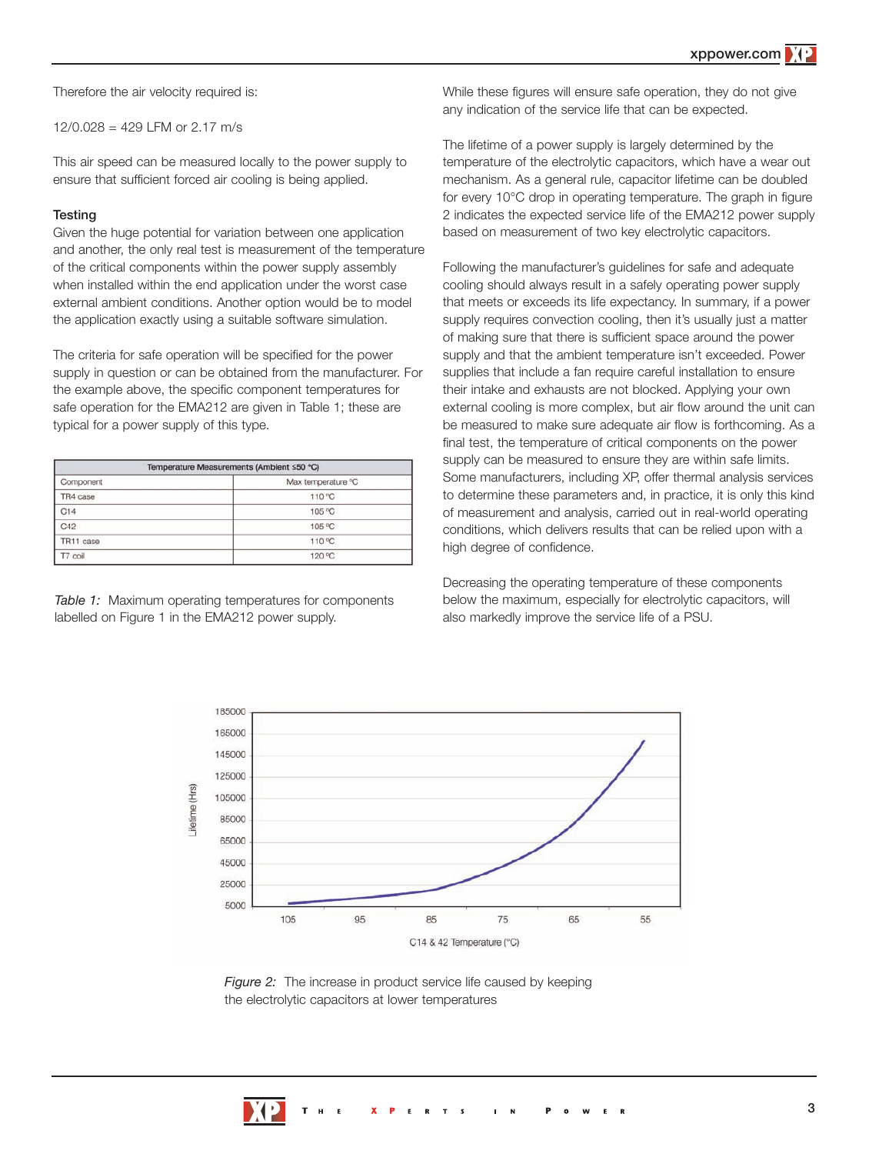Therefore the air velocity required is:

12/0.028 = 429 LFM or 2.17 m/s

This air speed can be measured locally to the power supply to ensure that sufficient forced air cooling is being applied.

#### **Testing**

Given the huge potential for variation between one application and another, the only real test is measurement of the temperature of the critical components within the power supply assembly when installed within the end application under the worst case external ambient conditions. Another option would be to model the application exactly using a suitable software simulation.

The criteria for safe operation will be specified for the power supply in question or can be obtained from the manufacturer. For the example above, the specific component temperatures for safe operation for the EMA212 are given in Table 1; these are typical for a power supply of this type.

| Temperature Measurements (Ambient ≤50 °C) |                    |  |
|-------------------------------------------|--------------------|--|
| Component                                 | Max temperature °C |  |
| TR4 case                                  | 110 °C             |  |
| C14                                       | 105 °C             |  |
| C42                                       | 105 °C             |  |
| TR11 case                                 | 110 °C             |  |
| T7 coil                                   | 120 °C             |  |

*Table 1:* Maximum operating temperatures for components labelled on Figure 1 in the EMA212 power supply.

While these figures will ensure safe operation, they do not give any indication of the service life that can be expected.

The lifetime of a power supply is largely determined by the temperature of the electrolytic capacitors, which have a wear out mechanism. As a general rule, capacitor lifetime can be doubled for every 10°C drop in operating temperature. The graph in figure 2 indicates the expected service life of the EMA212 power supply based on measurement of two key electrolytic capacitors.

Following the manufacturer's guidelines for safe and adequate cooling should always result in a safely operating power supply that meets or exceeds its life expectancy. In summary, if a power supply requires convection cooling, then it's usually just a matter of making sure that there is sufficient space around the power supply and that the ambient temperature isn't exceeded. Power supplies that include a fan require careful installation to ensure their intake and exhausts are not blocked. Applying your own external cooling is more complex, but air flow around the unit can be measured to make sure adequate air flow is forthcoming. As a final test, the temperature of critical components on the power supply can be measured to ensure they are within safe limits. Some manufacturers, including XP, offer thermal analysis services to determine these parameters and, in practice, it is only this kind of measurement and analysis, carried out in real-world operating conditions, which delivers results that can be relied upon with a high degree of confidence.

Decreasing the operating temperature of these components below the maximum, especially for electrolytic capacitors, will also markedly improve the service life of a PSU.



*Figure 2:* The increase in product service life caused by keeping the electrolytic capacitors at lower temperatures